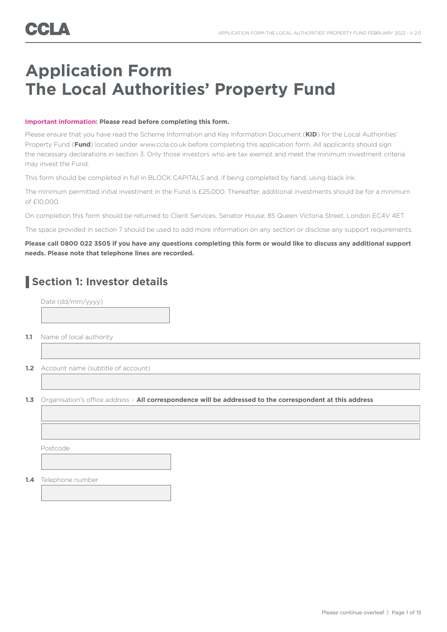# **Application Form The Local Authorities' Property Fund**

### **Important information: Please read before completing this form.**

Please ensure that you have read the Scheme Information and Key Information Document (**KID**) for the Local Authorities' Property Fund (**Fund**) located under www.ccla.co.uk before completing this application form. All applicants should sign the necessary declarations in section 3. Only those investors who are tax exempt and meet the minimum investment criteria may invest the Fund.

This form should be completed in full in BLOCK CAPITALS and, if being completed by hand, using black ink.

The minimum permitted initial investment in the Fund is £25,000. Thereafter, additional investments should be for a minimum of £10,000.

On completion this form should be returned to Client Services, Senator House, 85 Queen Victoria Street, London EC4V 4ET.

The space provided in section 7 should be used to add more information on any section or disclose any support requirements.

## **Please call 0800 022 3505 if you have any questions completing this form or would like to discuss any additional support needs. Please note that telephone lines are recorded.**

# **Section 1: Investor details**

Date (dd/mm/yyyy)

**1.1** Name of local authority

ľ

**1.2** Account name (subtitle of account)

**1.3** Organisation's office address – **All correspondence will be addressed to the correspondent at this address**

Postcode

**1.4** Telephone number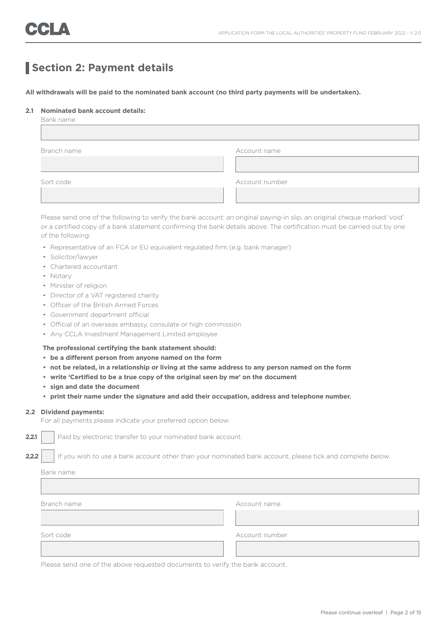# **Section 2: Payment details**

**All withdrawals will be paid to the nominated bank account (no third party payments will be undertaken).** 

### **2.1 Nominated bank account details:**

| Bank name   |                |
|-------------|----------------|
|             |                |
|             |                |
| Branch name | Account name   |
|             |                |
|             |                |
| Sort code   | Account number |
|             |                |
|             |                |

 Please send one of the following to verify the bank account: an original paying-in slip, an original cheque marked 'void' or a certified copy of a bank statement confirming the bank details above. The certification must be carried out by one of the following:

- Representative of an FCA or EU equivalent regulated firm (e.g. bank manager)
- Solicitor/lawyer
- Chartered accountant
- Notary
- Minister of religion
- Director of a VAT registered charity
- Officer of the British Armed Forces
- Government department official
- Official of an overseas embassy, consulate or high commission
- Any CCLA Investment Management Limited employee

### **The professional certifying the bank statement should:**

- **be a different person from anyone named on the form**
- **not be related, in a relationship or living at the same address to any person named on the form**
- **• write 'Certified to be a true copy of the original seen by me' on the document**
- **• sign and date the document**
- **• print their name under the signature and add their occupation, address and telephone number.**

#### **2.2 Dividend payments:**

For all payments please indicate your preferred option below:

**2.2.1** Paid by electronic transfer to your nominated bank account.

**2.2.2** If you wish to use a bank account other than your nominated bank account, please tick and complete below.

| Bank name   |                |  |
|-------------|----------------|--|
|             |                |  |
|             |                |  |
| Branch name | Account name   |  |
|             |                |  |
|             |                |  |
| Sort code   | Account number |  |
|             |                |  |
|             |                |  |

Please send one of the above requested documents to verify the bank account.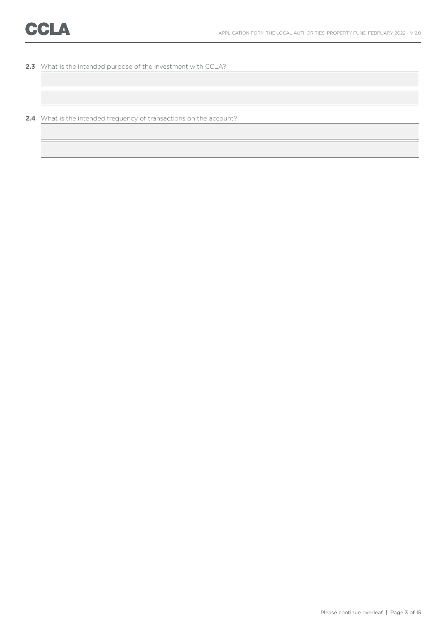**2.3** What is the intended purpose of the investment with CCLA?

**2.4** What is the intended frequency of transactions on the account?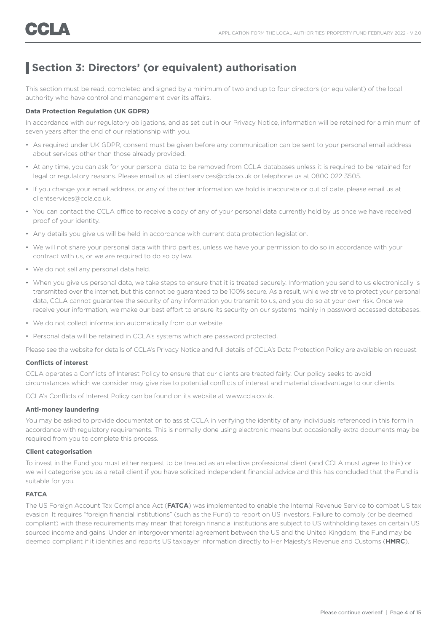# **Section 3: Directors' (or equivalent) authorisation**

This section must be read, completed and signed by a minimum of two and up to four directors (or equivalent) of the local authority who have control and management over its affairs.

### **Data Protection Regulation (UK GDPR)**

In accordance with our regulatory obligations, and as set out in our Privacy Notice, information will be retained for a minimum of seven years after the end of our relationship with you.

- As required under UK GDPR, consent must be given before any communication can be sent to your personal email address about services other than those already provided.
- At any time, you can ask for your personal data to be removed from CCLA databases unless it is required to be retained for legal or regulatory reasons. Please email us at clientservices@ccla.co.uk or telephone us at 0800 022 3505.
- If you change your email address, or any of the other information we hold is inaccurate or out of date, please email us at clientservices@ccla.co.uk.
- You can contact the CCLA office to receive a copy of any of your personal data currently held by us once we have received proof of your identity.
- Any details you give us will be held in accordance with current data protection legislation.
- We will not share your personal data with third parties, unless we have your permission to do so in accordance with your contract with us, or we are required to do so by law.
- We do not sell any personal data held.
- When you give us personal data, we take steps to ensure that it is treated securely. Information you send to us electronically is transmitted over the internet, but this cannot be guaranteed to be 100% secure. As a result, while we strive to protect your personal data, CCLA cannot guarantee the security of any information you transmit to us, and you do so at your own risk. Once we receive your information, we make our best effort to ensure its security on our systems mainly in password accessed databases.
- We do not collect information automatically from our website.
- Personal data will be retained in CCLA's systems which are password protected.

Please see the website for details of CCLA's Privacy Notice and full details of CCLA's Data Protection Policy are available on request.

#### **Conflicts of interest**

CCLA operates a Conflicts of Interest Policy to ensure that our clients are treated fairly. Our policy seeks to avoid circumstances which we consider may give rise to potential conflicts of interest and material disadvantage to our clients.

CCLA's Conflicts of Interest Policy can be found on its website at www.ccla.co.uk.

#### **Anti-money laundering**

You may be asked to provide documentation to assist CCLA in verifying the identity of any individuals referenced in this form in accordance with regulatory requirements. This is normally done using electronic means but occasionally extra documents may be required from you to complete this process.

#### **Client categorisation**

To invest in the Fund you must either request to be treated as an elective professional client (and CCLA must agree to this) or we will categorise you as a retail client if you have solicited independent financial advice and this has concluded that the Fund is suitable for you.

### **FATCA**

The US Foreign Account Tax Compliance Act (**FATCA**) was implemented to enable the Internal Revenue Service to combat US tax evasion. It requires "foreign financial institutions" (such as the Fund) to report on US investors. Failure to comply (or be deemed compliant) with these requirements may mean that foreign financial institutions are subject to US withholding taxes on certain US sourced income and gains. Under an intergovernmental agreement between the US and the United Kingdom, the Fund may be deemed compliant if it identifies and reports US taxpayer information directly to Her Majesty's Revenue and Customs (**HMRC**).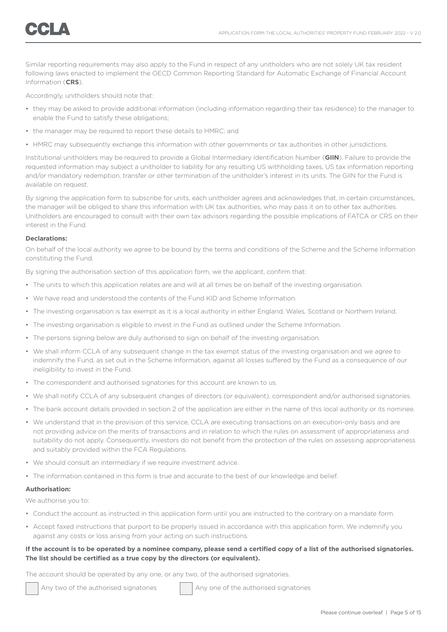Similar reporting requirements may also apply to the Fund in respect of any unitholders who are not solely UK tax resident following laws enacted to implement the OECD Common Reporting Standard for Automatic Exchange of Financial Account Information (**CRS**).

Accordingly, unitholders should note that:

- they may be asked to provide additional information (including information regarding their tax residence) to the manager to enable the Fund to satisfy these obligations;
- the manager may be required to report these details to HMRC; and
- HMRC may subsequently exchange this information with other governments or tax authorities in other jurisdictions.

Institutional unitholders may be required to provide a Global Intermediary Identification Number (**GIIN**). Failure to provide the requested information may subject a unitholder to liability for any resulting US withholding taxes, US tax information reporting and/or mandatory redemption, transfer or other termination of the unitholder's interest in its units. The GIIN for the Fund is available on request.

By signing the application form to subscribe for units, each unitholder agrees and acknowledges that, in certain circumstances, the manager will be obliged to share this information with UK tax authorities, who may pass it on to other tax authorities. Unitholders are encouraged to consult with their own tax advisors regarding the possible implications of FATCA or CRS on their interest in the Fund.

### **Declarations:**

On behalf of the local authority we agree to be bound by the terms and conditions of the Scheme and the Scheme Information constituting the Fund.

By signing the authorisation section of this application form, we the applicant, confirm that:

- The units to which this application relates are and will at all times be on behalf of the investing organisation.
- We have read and understood the contents of the Fund KID and Scheme Information.
- The investing organisation is tax exempt as it is a local authority in either England, Wales, Scotland or Northern Ireland.
- The investing organisation is eligible to invest in the Fund as outlined under the Scheme Information.
- The persons signing below are duly authorised to sign on behalf of the investing organisation.
- We shall inform CCLA of any subsequent change in the tax exempt status of the investing organisation and we agree to indemnify the Fund, as set out in the Scheme Information, against all losses suffered by the Fund as a consequence of our ineligibility to invest in the Fund.
- The correspondent and authorised signatories for this account are known to us.
- We shall notify CCLA of any subsequent changes of directors (or equivalent), correspondent and/or authorised signatories.
- The bank account details provided in section 2 of the application are either in the name of this local authority or its nominee.
- We understand that in the provision of this service, CCLA are executing transactions on an execution-only basis and are not providing advice on the merits of transactions and in relation to which the rules on assessment of appropriateness and suitability do not apply. Consequently, investors do not benefit from the protection of the rules on assessing appropriateness and suitably provided within the FCA Regulations.
- We should consult an intermediary if we require investment advice.
- The information contained in this form is true and accurate to the best of our knowledge and belief.

#### **Authorisation:**

We authorise you to:

- Conduct the account as instructed in this application form until you are instructed to the contrary on a mandate form.
- Accept faxed instructions that purport to be properly issued in accordance with this application form. We indemnify you against any costs or loss arising from your acting on such instructions.

### **If the account is to be operated by a nominee company, please send a certified copy of a list of the authorised signatories. The list should be certified as a true copy by the directors (or equivalent).**

The account should be operated by any one, or any two, of the authorised signatories.

Any two of the authorised signatories Any one of the authorised signatories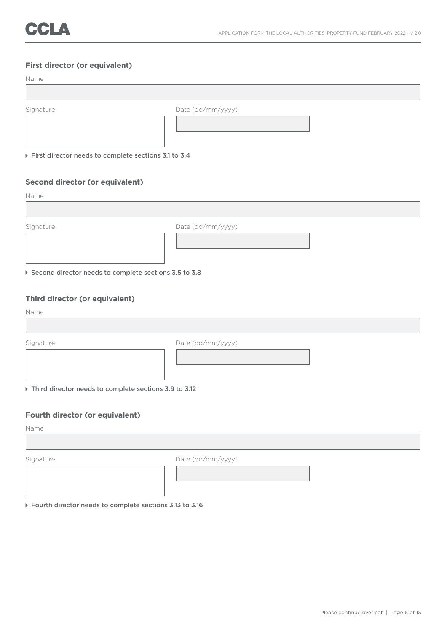# **First director (or equivalent)**

| Name                                                 |                   |
|------------------------------------------------------|-------------------|
|                                                      |                   |
|                                                      |                   |
| Signature                                            | Date (dd/mm/yyyy) |
|                                                      |                   |
| First director needs to complete sections 3.1 to 3.4 |                   |
|                                                      |                   |
| Second director (or equivalent)                      |                   |
| Name                                                 |                   |
|                                                      |                   |
| Signature                                            | Date (dd/mm/yyyy) |
|                                                      |                   |
|                                                      |                   |
|                                                      |                   |

Second director needs to complete sections 3.5 to 3.8

# **Third director (or equivalent)**

Name

Signature Date (dd/mm/yyyy) Third director needs to complete sections 3.9 to 3.12

# **Fourth director (or equivalent)**

Name

Signature Date (dd/mm/yyyy)

Fourth director needs to complete sections 3.13 to 3.16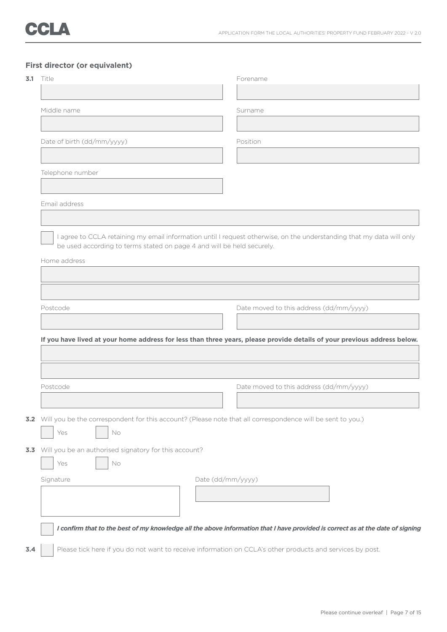# **First director (or equivalent)**

| Middle name<br>Date of birth (dd/mm/yyyy)<br>Telephone number          | Surname<br>Position                                                                                                            |
|------------------------------------------------------------------------|--------------------------------------------------------------------------------------------------------------------------------|
|                                                                        |                                                                                                                                |
|                                                                        |                                                                                                                                |
|                                                                        |                                                                                                                                |
|                                                                        |                                                                                                                                |
|                                                                        |                                                                                                                                |
|                                                                        |                                                                                                                                |
|                                                                        |                                                                                                                                |
| Email address                                                          |                                                                                                                                |
|                                                                        |                                                                                                                                |
|                                                                        | I agree to CCLA retaining my email information until I request otherwise, on the understanding that my data will only          |
| be used according to terms stated on page 4 and will be held securely. |                                                                                                                                |
| Home address                                                           |                                                                                                                                |
|                                                                        |                                                                                                                                |
|                                                                        |                                                                                                                                |
|                                                                        |                                                                                                                                |
| Postcode                                                               | Date moved to this address (dd/mm/yyyy)                                                                                        |
|                                                                        |                                                                                                                                |
|                                                                        |                                                                                                                                |
|                                                                        | If you have lived at your home address for less than three years, please provide details of your previous address below.       |
|                                                                        |                                                                                                                                |
|                                                                        |                                                                                                                                |
|                                                                        |                                                                                                                                |
| Postcode                                                               | Date moved to this address (dd/mm/yyyy)                                                                                        |
|                                                                        |                                                                                                                                |
|                                                                        |                                                                                                                                |
|                                                                        | 3.2 Will you be the correspondent for this account? (Please note that all correspondence will be sent to you.)                 |
|                                                                        |                                                                                                                                |
| Yes<br>No                                                              |                                                                                                                                |
|                                                                        |                                                                                                                                |
| 3.3 Will you be an authorised signatory for this account?              |                                                                                                                                |
| Yes<br>No                                                              |                                                                                                                                |
| Signature                                                              | Date (dd/mm/yyyy)                                                                                                              |
|                                                                        |                                                                                                                                |
|                                                                        |                                                                                                                                |
|                                                                        |                                                                                                                                |
|                                                                        | I confirm that to the best of my knowledge all the above information that I have provided is correct as at the date of signing |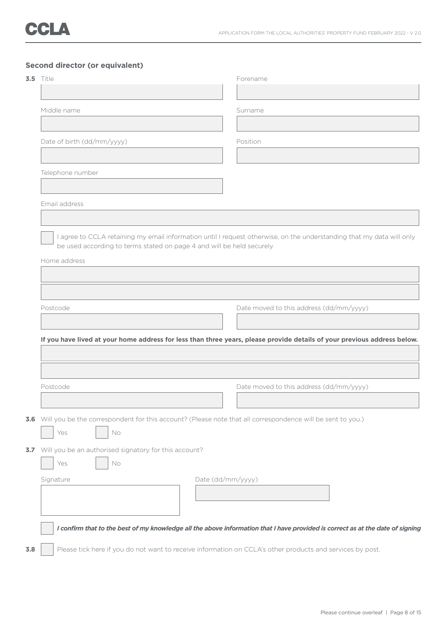# **Second director (or equivalent)**

| <b>3.5</b> Title                                                       |  | Forename                                                                                                                 |  |  |
|------------------------------------------------------------------------|--|--------------------------------------------------------------------------------------------------------------------------|--|--|
|                                                                        |  |                                                                                                                          |  |  |
| Middle name                                                            |  | Surname                                                                                                                  |  |  |
|                                                                        |  |                                                                                                                          |  |  |
| Date of birth (dd/mm/yyyy)                                             |  | Position                                                                                                                 |  |  |
|                                                                        |  |                                                                                                                          |  |  |
| Telephone number                                                       |  |                                                                                                                          |  |  |
|                                                                        |  |                                                                                                                          |  |  |
| Email address                                                          |  |                                                                                                                          |  |  |
|                                                                        |  |                                                                                                                          |  |  |
| be used according to terms stated on page 4 and will be held securely. |  | I agree to CCLA retaining my email information until I request otherwise, on the understanding that my data will only    |  |  |
|                                                                        |  |                                                                                                                          |  |  |
| Home address                                                           |  |                                                                                                                          |  |  |
|                                                                        |  |                                                                                                                          |  |  |
|                                                                        |  |                                                                                                                          |  |  |
|                                                                        |  |                                                                                                                          |  |  |
| Postcode                                                               |  | Date moved to this address (dd/mm/yyyy)                                                                                  |  |  |
|                                                                        |  |                                                                                                                          |  |  |
|                                                                        |  | If you have lived at your home address for less than three years, please provide details of your previous address below. |  |  |
|                                                                        |  |                                                                                                                          |  |  |
|                                                                        |  |                                                                                                                          |  |  |
|                                                                        |  |                                                                                                                          |  |  |
| Postcode                                                               |  | Date moved to this address (dd/mm/yyyy)                                                                                  |  |  |
|                                                                        |  |                                                                                                                          |  |  |
|                                                                        |  | 3.6 Will you be the correspondent for this account? (Please note that all correspondence will be sent to you.)           |  |  |
| Yes<br>No                                                              |  |                                                                                                                          |  |  |
| Will you be an authorised signatory for this account?                  |  |                                                                                                                          |  |  |
| No<br>Yes                                                              |  |                                                                                                                          |  |  |
| Signature                                                              |  | Date (dd/mm/yyyy)                                                                                                        |  |  |
|                                                                        |  |                                                                                                                          |  |  |
|                                                                        |  |                                                                                                                          |  |  |
|                                                                        |  |                                                                                                                          |  |  |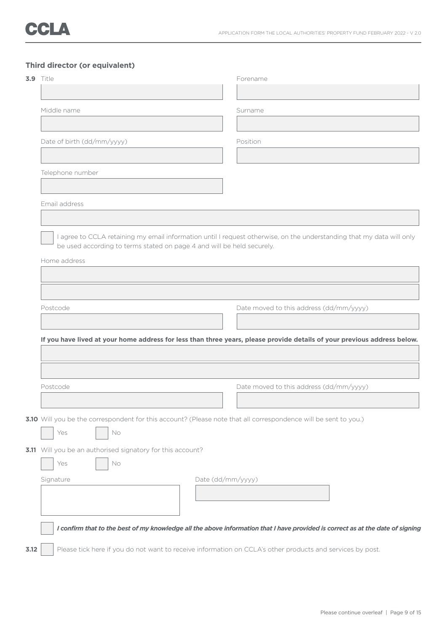# **Third director (or equivalent)**

| <b>3.9</b> Title                                                       |  | Forename                                                                                                                       |  |  |  |
|------------------------------------------------------------------------|--|--------------------------------------------------------------------------------------------------------------------------------|--|--|--|
|                                                                        |  |                                                                                                                                |  |  |  |
| Middle name                                                            |  | Surname                                                                                                                        |  |  |  |
|                                                                        |  |                                                                                                                                |  |  |  |
| Date of birth (dd/mm/yyyy)                                             |  | Position                                                                                                                       |  |  |  |
|                                                                        |  |                                                                                                                                |  |  |  |
| Telephone number                                                       |  |                                                                                                                                |  |  |  |
|                                                                        |  |                                                                                                                                |  |  |  |
| Email address                                                          |  |                                                                                                                                |  |  |  |
|                                                                        |  |                                                                                                                                |  |  |  |
|                                                                        |  | I agree to CCLA retaining my email information until I request otherwise, on the understanding that my data will only          |  |  |  |
| be used according to terms stated on page 4 and will be held securely. |  |                                                                                                                                |  |  |  |
| Home address                                                           |  |                                                                                                                                |  |  |  |
|                                                                        |  |                                                                                                                                |  |  |  |
|                                                                        |  |                                                                                                                                |  |  |  |
| Postcode                                                               |  | Date moved to this address (dd/mm/yyyy)                                                                                        |  |  |  |
|                                                                        |  |                                                                                                                                |  |  |  |
|                                                                        |  | If you have lived at your home address for less than three years, please provide details of your previous address below.       |  |  |  |
|                                                                        |  |                                                                                                                                |  |  |  |
|                                                                        |  |                                                                                                                                |  |  |  |
| Postcode                                                               |  | Date moved to this address (dd/mm/yyyy)                                                                                        |  |  |  |
|                                                                        |  |                                                                                                                                |  |  |  |
|                                                                        |  | 3.10 Will you be the correspondent for this account? (Please note that all correspondence will be sent to you.)                |  |  |  |
| Yes<br>No                                                              |  |                                                                                                                                |  |  |  |
| 3.11 Will you be an authorised signatory for this account?             |  |                                                                                                                                |  |  |  |
| No<br>Yes                                                              |  |                                                                                                                                |  |  |  |
| Date (dd/mm/yyyy)<br>Signature                                         |  |                                                                                                                                |  |  |  |
|                                                                        |  |                                                                                                                                |  |  |  |
|                                                                        |  |                                                                                                                                |  |  |  |
|                                                                        |  |                                                                                                                                |  |  |  |
|                                                                        |  | I confirm that to the best of my knowledge all the above information that I have provided is correct as at the date of signing |  |  |  |
| 3.12                                                                   |  | Please tick here if you do not want to receive information on CCLA's other products and services by post.                      |  |  |  |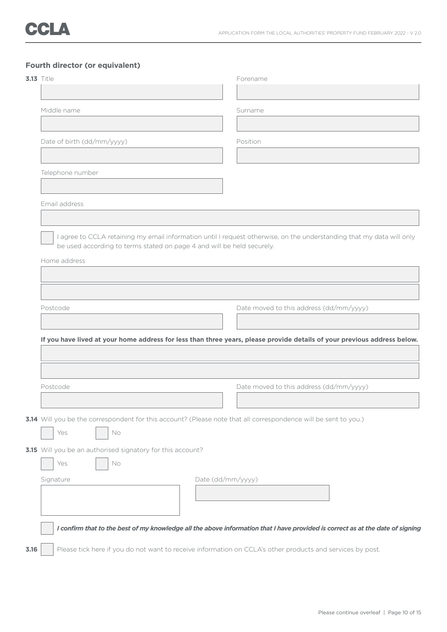# **Fourth director (or equivalent)**

| Middle name<br>Date of birth (dd/mm/yyyy)<br>Telephone number<br>Email address<br>be used according to terms stated on page 4 and will be held securely.<br>Home address | Surname<br>Position<br>I agree to CCLA retaining my email information until I request otherwise, on the understanding that my data will only |  |  |
|--------------------------------------------------------------------------------------------------------------------------------------------------------------------------|----------------------------------------------------------------------------------------------------------------------------------------------|--|--|
|                                                                                                                                                                          |                                                                                                                                              |  |  |
|                                                                                                                                                                          |                                                                                                                                              |  |  |
|                                                                                                                                                                          |                                                                                                                                              |  |  |
|                                                                                                                                                                          |                                                                                                                                              |  |  |
|                                                                                                                                                                          |                                                                                                                                              |  |  |
|                                                                                                                                                                          |                                                                                                                                              |  |  |
|                                                                                                                                                                          |                                                                                                                                              |  |  |
|                                                                                                                                                                          |                                                                                                                                              |  |  |
|                                                                                                                                                                          |                                                                                                                                              |  |  |
|                                                                                                                                                                          |                                                                                                                                              |  |  |
|                                                                                                                                                                          |                                                                                                                                              |  |  |
|                                                                                                                                                                          |                                                                                                                                              |  |  |
|                                                                                                                                                                          |                                                                                                                                              |  |  |
|                                                                                                                                                                          |                                                                                                                                              |  |  |
|                                                                                                                                                                          |                                                                                                                                              |  |  |
| Postcode                                                                                                                                                                 | Date moved to this address (dd/mm/yyyy)                                                                                                      |  |  |
|                                                                                                                                                                          |                                                                                                                                              |  |  |
|                                                                                                                                                                          | If you have lived at your home address for less than three years, please provide details of your previous address below.                     |  |  |
|                                                                                                                                                                          |                                                                                                                                              |  |  |
|                                                                                                                                                                          |                                                                                                                                              |  |  |
| Postcode                                                                                                                                                                 | Date moved to this address (dd/mm/yyyy)                                                                                                      |  |  |
|                                                                                                                                                                          |                                                                                                                                              |  |  |
|                                                                                                                                                                          |                                                                                                                                              |  |  |
|                                                                                                                                                                          | 3.14 Will you be the correspondent for this account? (Please note that all correspondence will be sent to you.)                              |  |  |
| Yes<br>No                                                                                                                                                                |                                                                                                                                              |  |  |
| 3.15 Will you be an authorised signatory for this account?                                                                                                               |                                                                                                                                              |  |  |
| Yes<br>No                                                                                                                                                                |                                                                                                                                              |  |  |
| Signature                                                                                                                                                                | Date (dd/mm/yyyy)                                                                                                                            |  |  |
|                                                                                                                                                                          |                                                                                                                                              |  |  |
|                                                                                                                                                                          |                                                                                                                                              |  |  |
|                                                                                                                                                                          |                                                                                                                                              |  |  |
|                                                                                                                                                                          | I confirm that to the best of my knowledge all the above information that I have provided is correct as at the date of signing               |  |  |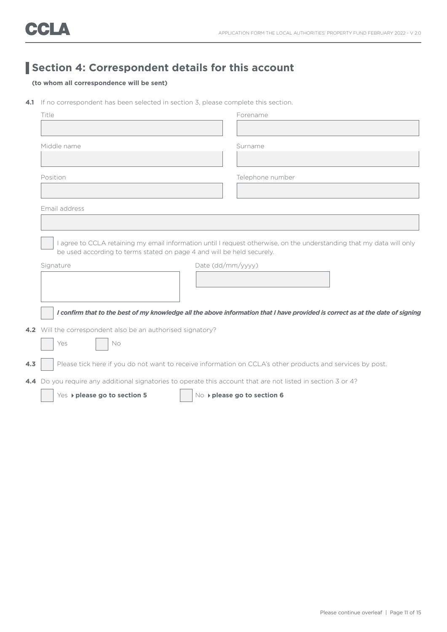# **Section 4: Correspondent details for this account**

# **(to whom all correspondence will be sent)**

**4.1** If no correspondent has been selected in section 3, please complete this section.

|     | Title                                                                                                                          |                             | Forename         |  |
|-----|--------------------------------------------------------------------------------------------------------------------------------|-----------------------------|------------------|--|
|     |                                                                                                                                |                             |                  |  |
|     | Middle name                                                                                                                    |                             | Surname          |  |
|     |                                                                                                                                |                             |                  |  |
|     | Position                                                                                                                       |                             | Telephone number |  |
|     |                                                                                                                                |                             |                  |  |
|     | Email address                                                                                                                  |                             |                  |  |
|     |                                                                                                                                |                             |                  |  |
|     | I agree to CCLA retaining my email information until I request otherwise, on the understanding that my data will only          |                             |                  |  |
|     | be used according to terms stated on page 4 and will be held securely.                                                         |                             |                  |  |
|     | Signature                                                                                                                      | Date (dd/mm/yyyy)           |                  |  |
|     |                                                                                                                                |                             |                  |  |
|     |                                                                                                                                |                             |                  |  |
|     | I confirm that to the best of my knowledge all the above information that I have provided is correct as at the date of signing |                             |                  |  |
|     | 4.2 Will the correspondent also be an authorised signatory?                                                                    |                             |                  |  |
|     | Yes<br>No                                                                                                                      |                             |                  |  |
| 4.3 | Please tick here if you do not want to receive information on CCLA's other products and services by post.                      |                             |                  |  |
|     | 4.4 Do you require any additional signatories to operate this account that are not listed in section 3 or 4?                   |                             |                  |  |
|     | Yes > please go to section 5                                                                                                   | No ▶ please go to section 6 |                  |  |
|     |                                                                                                                                |                             |                  |  |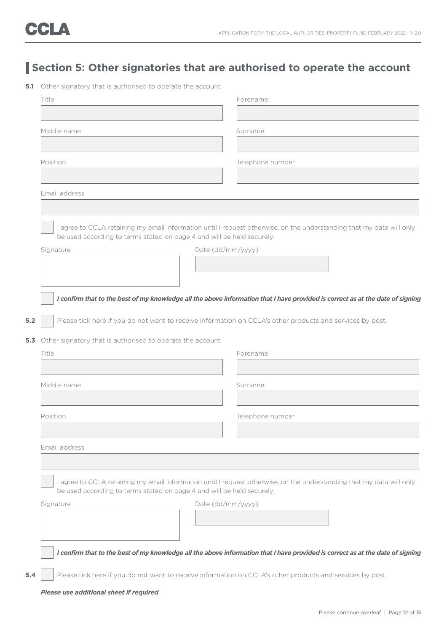# **Section 5: Other signatories that are authorised to operate the account**

|       | Title                                                                                                                                                                                           | Forename                                                                                                                       |  |  |
|-------|-------------------------------------------------------------------------------------------------------------------------------------------------------------------------------------------------|--------------------------------------------------------------------------------------------------------------------------------|--|--|
|       |                                                                                                                                                                                                 |                                                                                                                                |  |  |
|       | Middle name                                                                                                                                                                                     | Surname                                                                                                                        |  |  |
|       |                                                                                                                                                                                                 |                                                                                                                                |  |  |
|       | Position                                                                                                                                                                                        | Telephone number                                                                                                               |  |  |
|       |                                                                                                                                                                                                 |                                                                                                                                |  |  |
|       | Email address                                                                                                                                                                                   |                                                                                                                                |  |  |
|       |                                                                                                                                                                                                 |                                                                                                                                |  |  |
|       | be used according to terms stated on page 4 and will be held securely.                                                                                                                          | I agree to CCLA retaining my email information until I request otherwise, on the understanding that my data will only          |  |  |
|       | Signature                                                                                                                                                                                       | Date (dd/mm/yyyy)                                                                                                              |  |  |
|       |                                                                                                                                                                                                 |                                                                                                                                |  |  |
|       |                                                                                                                                                                                                 |                                                                                                                                |  |  |
|       |                                                                                                                                                                                                 | I confirm that to the best of my knowledge all the above information that I have provided is correct as at the date of signing |  |  |
|       |                                                                                                                                                                                                 |                                                                                                                                |  |  |
| $5.2$ | Please tick here if you do not want to receive information on CCLA's other products and services by post.                                                                                       |                                                                                                                                |  |  |
|       | 5.3 Other signatory that is authorised to operate the account                                                                                                                                   |                                                                                                                                |  |  |
|       | Title                                                                                                                                                                                           | Forename                                                                                                                       |  |  |
|       |                                                                                                                                                                                                 |                                                                                                                                |  |  |
|       | Middle name                                                                                                                                                                                     | Surname                                                                                                                        |  |  |
|       |                                                                                                                                                                                                 |                                                                                                                                |  |  |
|       | Position                                                                                                                                                                                        | Telephone number                                                                                                               |  |  |
|       |                                                                                                                                                                                                 |                                                                                                                                |  |  |
|       | Email address                                                                                                                                                                                   |                                                                                                                                |  |  |
|       |                                                                                                                                                                                                 |                                                                                                                                |  |  |
|       | I agree to CCLA retaining my email information until I request otherwise, on the understanding that my data will only<br>be used according to terms stated on page 4 and will be held securely. |                                                                                                                                |  |  |
|       | Signature                                                                                                                                                                                       | Date (dd/mm/yyyy)                                                                                                              |  |  |
|       |                                                                                                                                                                                                 |                                                                                                                                |  |  |
|       |                                                                                                                                                                                                 |                                                                                                                                |  |  |
|       |                                                                                                                                                                                                 | I confirm that to the best of my knowledge all the above information that I have provided is correct as at the date of signing |  |  |
| 5.4   | Please tick here if you do not want to receive information on CCLA's other products and services by post.                                                                                       |                                                                                                                                |  |  |
|       | Please use additional sheet if required                                                                                                                                                         |                                                                                                                                |  |  |
|       |                                                                                                                                                                                                 | Please continue overleaf   Page 12 of 15                                                                                       |  |  |
|       |                                                                                                                                                                                                 |                                                                                                                                |  |  |

**<sup>5.1</sup>** Other signatory that is authorised to operate the account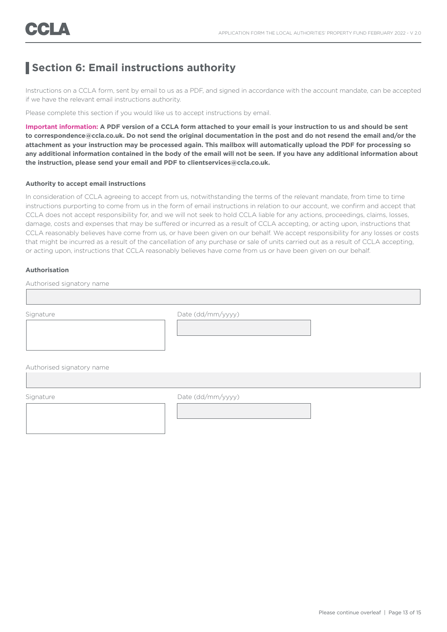# **Section 6: Email instructions authority**

Instructions on a CCLA form, sent by email to us as a PDF, and signed in accordance with the account mandate, can be accepted if we have the relevant email instructions authority.

Please complete this section if you would like us to accept instructions by email.

**Important information: A PDF version of a CCLA form attached to your email is your instruction to us and should be sent to correspondence@ccla.co.uk. Do not send the original documentation in the post and do not resend the email and/or the attachment as your instruction may be processed again. This mailbox will automatically upload the PDF for processing so any additional information contained in the body of the email will not be seen. If you have any additional information about the instruction, please send your email and PDF to clientservices@ccla.co.uk.**

### **Authority to accept email instructions**

In consideration of CCLA agreeing to accept from us, notwithstanding the terms of the relevant mandate, from time to time instructions purporting to come from us in the form of email instructions in relation to our account, we confirm and accept that CCLA does not accept responsibility for, and we will not seek to hold CCLA liable for any actions, proceedings, claims, losses, damage, costs and expenses that may be suffered or incurred as a result of CCLA accepting, or acting upon, instructions that CCLA reasonably believes have come from us, or have been given on our behalf. We accept responsibility for any losses or costs that might be incurred as a result of the cancellation of any purchase or sale of units carried out as a result of CCLA accepting, or acting upon, instructions that CCLA reasonably believes have come from us or have been given on our behalf.

### **Authorisation**

Authorised signatory name

I

Signature Date (dd/mm/yyyy)

Authorised signatory name

Signature Date (dd/mm/yyyy)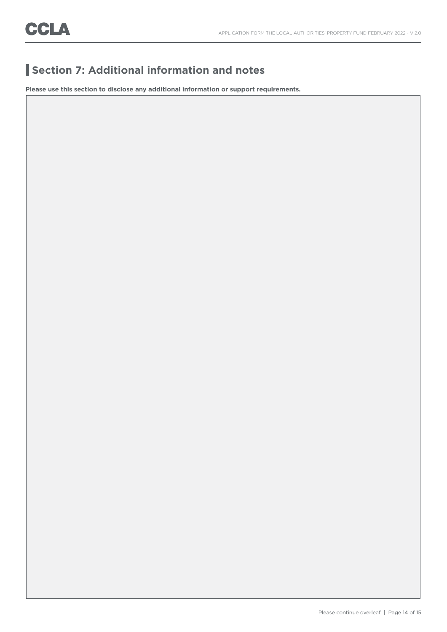# **Section 7: Additional information and notes**

**Please use this section to disclose any additional information or support requirements.**